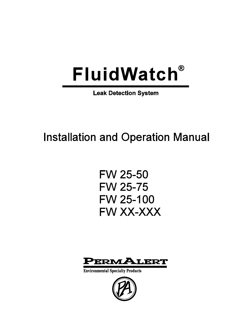# **FluidWatch®**

**Leak Detection System** 

# **Installation and Operation Manual**

**FW 25-50 FW 25-75 FW 25-100** FW XX-XXX



**Environmental Specialty Products** 

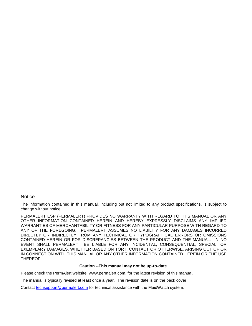#### **Notice**

The information contained in this manual, including but not limited to any product specifications, is subject to change without notice.

PERMALERT ESP (PERMALERT) PROVIDES NO WARRANTY WITH REGARD TO THIS MANUAL OR ANY OTHER INFORMATION CONTAINED HEREIN AND HEREBY EXPRESSLY DISCLAIMS ANY IMPLIED WARRANTIES OF MERCHANTABILITY OR FITNESS FOR ANY PARTICULAR PURPOSE WITH REGARD TO ANY OF THE FOREGOING. PERMALERT ASSUMES NO LIABILITY FOR ANY DAMAGES INCURRED DIRECTLY OR INDIRECTLY FROM ANY TECHNICAL OR TYPOGRAPHICAL ERRORS OR OMISSIONS CONTAINED HEREIN OR FOR DISCREPANCIES BETWEEN THE PRODUCT AND THE MANUAL. IN NO EVENT SHALL PERMALERT BE LIABLE FOR ANY INCIDENTAL, CONSEQUENTIAL, SPECIAL, OR EXEMPLARY DAMAGES, WHETHER BASED ON TORT, CONTACT OR OTHERWISE, ARISING OUT OF OR IN CONNECTION WITH THIS MANUAL OR ANY OTHER INFORMATION CONTAINED HEREIN OR THE USE THEREOF.

#### **Caution --This manual may not be up-to-date**.

Please check the PermAlert website, [www.permalert.com,](http://www.permalert.com/) for the latest revision of this manual.

The manual is typically revised at least once a year. The revision date is on the back cover.

Contact [techsupport@permalert.com](mailto:techsupport@permalert.com) for technical assistance with the FluidWatch system.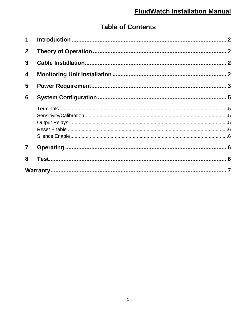# **Table of Contents**

| 8              |  |  |
|----------------|--|--|
| $\overline{7}$ |  |  |
|                |  |  |
|                |  |  |
|                |  |  |
|                |  |  |
|                |  |  |
| 6              |  |  |
| 5              |  |  |
| 4              |  |  |
| 3              |  |  |
| $\overline{2}$ |  |  |
| $\mathbf 1$    |  |  |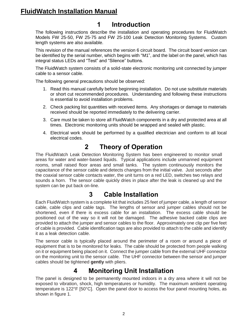# <span id="page-3-0"></span>**FluidWatch Installation Manual**

# **1 Introduction**

The following instructions describe the installation and operating procedures for FluidWatch Models FW 25-50, FW 25-75 and FW 25-100 Leak Detection Monitoring Systems. Custom length systems are also available.

This revision of the manual references the version 6 circuit board. The circuit board version can be identified by the serial number, which begins with "M1", and the label on the panel, which has integral status LEDs and "Test" and "Silence" buttons.

The FluidWatch system consists of a solid-state electronic monitoring unit connected by jumper cable to a sensor cable.

The following general precautions should be observed:

- 1. Read this manual carefully before beginning installation. Do not use substitute materials or short cut recommended procedures. Understanding and following these instructions is essential to avoid installation problems.
- 2. Check packing list quantities with received items. Any shortages or damage to materials received should be reported immediately to the delivering carrier.
- 3. Care must be taken to store all FluidWatch components in a dry and protected area at all times. Electronic monitoring units should be wrapped and sealed with plastic.
- 4. Electrical work should be performed by a qualified electrician and conform to all local electrical codes.

#### **2 Theory of Operation**

<span id="page-3-1"></span>The FluidWatch Leak Detection Monitoring System has been engineered to monitor small areas for water and water-based liquids. Typical applications include unmanned equipment rooms, small raised floor areas and small tanks. The system continuously monitors the capacitance of the sensor cable and detects changes from the initial valve. Just seconds after the coaxial sensor cable contacts water, the unit turns on a red LED, switches two relays and sounds a horn. The sensor cable quickly dries in place after the leak is cleaned up and the system can be put back on-line.

### **3 Cable Installation**

<span id="page-3-2"></span>Each FluidWatch system is a complete kit that includes 25 feet of jumper cable, a length of sensor cable, cable clips and cable tags. The lengths of sensor and jumper cables should not be shortened, even if there is excess cable for an installation. The excess cable should be positioned out of the way so it will not be damaged. The adhesive backed cable clips are provided to attach the jumper and sensor cables to the floor. Approximately one clip per five feet of cable is provided. Cable identification tags are also provided to attach to the cable and identify it as a leak detection cable.

The sensor cable is typically placed around the perimeter of a room or around a piece of equipment that is to be monitored for leaks. The cable should be protected from people walking on it or equipment being placed on it. Connect the jumper cable from the external UHF connector on the monitoring unit to the sensor cable. The UHF connector between the sensor and jumper cables should be tightened **gently** with pliers.

### **4 Monitoring Unit Installation**

<span id="page-3-3"></span>The panel is designed to be permanently mounted indoors in a dry area where it will not be exposed to vibration, shock, high temperatures or humidity. The maximum ambient operating temperature is 122°F [50°C]. Open the panel door to access the four panel mounting holes, as shown in figure 1.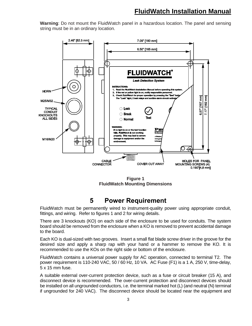**Warning**: Do not mount the FluidWatch panel in a hazardous location. The panel and sensing string must be in an ordinary location.



**Figure 1 FluidWatch Mounting Dimensions**

### **5 Power Requirement**

<span id="page-4-0"></span>FluidWatch must be permanently wired to instrument-quality power using appropriate conduit, fittings, and wiring. Refer to figures 1 and 2 for wiring details.

There are 3 knockouts (KO) on each side of the enclosure to be used for conduits. The system board should be removed from the enclosure when a KO is removed to prevent accidental damage to the board.

Each KO is dual-sized with two grooves. Insert a small flat blade screw driver in the groove for the desired size and apply a sharp rap with your hand or a hammer to remove the KO. It is recommended to use the KOs on the right side or bottom of the enclosure.

FluidWatch contains a universal power supply for AC operation, connected to terminal T2. The power requirement is 110-240 VAC, 50 / 60 Hz, 10 VA. AC Fuse (F1) is a 1 A, 250 V, time-delay, 5 x 15 mm fuse.

A suitable external over-current protection device, such as a fuse or circuit breaker (15 A), and disconnect device is recommended. The over-current protection and disconnect devices should be installed on all ungrounded conductors, i.e. the terminal marked hot (L) (and neutral (N) terminal if ungrounded for 240 VAC). The disconnect device should be located near the equipment and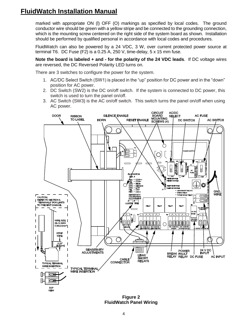## **FluidWatch Installation Manual**

marked with appropriate ON (l) OFF (O) markings as specified by local codes. The ground conductor wire should be green with a yellow stripe and be connected to the grounding connection, which is the mounting screw centered on the right side of the system board as shown. Installation should be performed by qualified personal in accordance with local codes and procedures.

FluidWatch can also be powered by a 24 VDC, 3 W, over current protected power source at terminal T6. DC Fuse (F2) is a 0.25 A, 250 V, time-delay, 5 x 15 mm fuse.

**Note the board is labeled + and - for the polarity of the 24 VDC leads**. If DC voltage wires are reversed, the DC Reversed Polarity LED turns on.

There are 3 switches to configure the power for the system.

- 1. AC/DC Select Switch (SW1) is placed in the "up" position for DC power and in the "down" position for AC power.
- 2. DC Switch (SW2) is the DC on/off switch. If the system is connected to DC power, this switch is used to turn the panel on/off.
- 3. AC Switch (SW3) is the AC on/off switch. This switch turns the panel on/off when using AC power.



**Figure 2 FluidWatch Panel Wiring**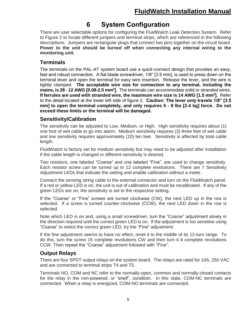# **6 System Configuration**

<span id="page-6-0"></span>There are user selectable options for configuring the FluidWatch Leak Detection System. Refer to Figure 2 to locate different jumpers and terminal strips, which are referenced in the following descriptions. Jumpers are rectangular plugs that connect two pins together on the circuit board. **Power to the unit should be turned off when connecting any internal wiring to the monitoring unit.**

#### <span id="page-6-1"></span>**Terminals**

<span id="page-6-2"></span>The terminals on the PAL-AT system board use a quick-connect design that provides an easy, fast and robust connection. A flat blade screwdriver, 1/8" [3.5 mm], is used to press down on the terminal lever and open the terminal for easy wire insertion. Release the lever, and the wire is tightly clamped. **The acceptable wire size for connection to any terminal, including the mains, is 28 - 12 AWG [0.08-2.5 mm<sup>2</sup> ].** The terminals can accommodate solid or stranded wires. **If ferrules are used with stranded wire, the maximum wire size is 14 AWG [1.5 mm<sup>2</sup> ].** Refer to the detail located at the lower left side of figure 2. **Caution: The lever only travels 1/8" [3.5 mm] to open the terminal completely, and only requires 5 - 8 lbs [2-4 kg] force. Do not exceed these limits or the terminal will be damaged.**

#### **Sensitivity/Calibration**

The sensitivity can be adjusted to Low, Medium, or High. High sensitivity requires about (1) one foot of wet cable to go into alarm. Medium sensitivity requires (3) three feet of wet cable and low sensitivity requires approximately (10) ten feet. Sensitivity is affected by total cable length.

FluidWatch is factory set for medium sensitivity but may need to be adjusted after installation if the cable length is changed or different sensitivity is desired.

Two resistors, one labeled "Coarse" and one labeled "Fine", are used to change sensitivity. Each resistor screw can be turned up to 12 complete revolutions. There are 7 Sensitivity Adjustment LEDs that indicate the setting and enable calibration without a meter.

Connect the sensing string cable to the external connector and turn on the FluidWatch panel. If a red or yellow LED is on, the unit is out of calibration and must be recalibrated. If any of the green LEDs are on, the sensitivity is set to the respective setting.

If the "Coarse" or "Fine" screws are turned clockwise (CW), the next LED up in the row is selected. If a screw is turned counter-clockwise (CCW), the next LED down in the row is selected.

Note which LED is on and, using a small screwdriver, turn the "Coarse" adjustment slowly in the direction required until the correct green LED is on. If the adjustment is too sensitive using "Coarse" to select the correct green LED, try the "Fine" adjustment.

If the fine adjustment seems to have no effect, reset it to the middle of its 12-turn range. To do this, turn the screw 15 complete revolutions CW and then turn it 6 complete revolutions CCW. Then repeat the "Coarse" adjustment followed with "Fine".

#### <span id="page-6-3"></span>**Output Relays**

There are four SPDT output relays on the system board. The relays are rated for 10A, 250 VAC and are connected to terminal strips T4 and T5.

Terminals NO, COM and NC refer to the normally-open, common and normally-closed contacts for the relay in the non-powered, or "shelf", condition. In this state, COM-NC terminals are connected. When a relay is energized, COM-NO terminals are connected.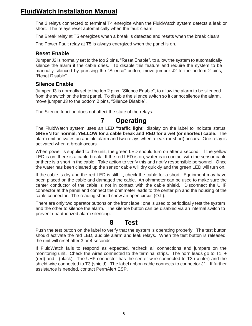## **FluidWatch Installation Manual**

The 2 relays connected to terminal T4 energize when the FluidWatch system detects a leak or short. The relays reset automatically when the fault clears.

The Break relay at T5 energizes when a break is detected and resets when the break clears.

The Power Fault relay at T5 is always energized when the panel is on.

#### <span id="page-7-0"></span>**Reset Enable**

Jumper J2 is normally set to the top 2 pins, "Reset Enable", to allow the system to automatically silence the alarm if the cable dries. To disable this feature and require the system to be manually silenced by pressing the "Silence" button, move jumper J2 to the bottom 2 pins, "Reset Disable".

#### <span id="page-7-1"></span>**Silence Enable**

Jumper J3 is normally set to the top 2 pins, "Silence Enable", to allow the alarm to be silenced from the switch on the front panel. To disable the silence switch so it cannot silence the alarm, move jumper J3 to the bottom 2 pins, "Silence Disable".

<span id="page-7-2"></span>The Silence function does not affect the state of the relays.

#### **7 Operating**

The FluidWatch system uses an LED **"traffic light"** display on the label to indicate status: **GREEN for normal, YELLOW for a cable break and RED for a wet (or shorted) cable**. The alarm unit activates an audible alarm and two relays when a leak (or short) occurs. One relay is activated when a break occurs.

When power is supplied to the unit, the green LED should turn on after a second. If the yellow LED is on, there is a cable break. If the red LED is on, water is in contact with the sensor cable or there is a short in the cable. Take action to verify this and notify responsible personnel. Once the water has been cleaned up the sensor cable will dry quickly and the green LED will turn on.

If the cable is dry and the red LED is still lit, check the cable for a short. Equipment may have been placed on the cable and damaged the cable. An ohmmeter can be used to make sure the center conductor of the cable is not in contact with the cable shield. Disconnect the UHF connector at the panel and connect the ohmmeter leads to the center pin and the housing of the cable connector. The reading should show an open circuit (O.L).

There are only two operator buttons on the front label: one is used to periodically test the system and the other to silence the alarm. The silence button can be disabled via an internal switch to prevent unauthorized alarm silencing.

#### **8 Test**

<span id="page-7-3"></span>Push the test button on the label to verify that the system is operating properly. The test button should activate the red LED, audible alarm and leak relays. When the test button is released, the unit will reset after 3 or 4 seconds.

If FluidWatch fails to respond as expected, recheck all connections and jumpers on the monitoring unit. Check the wires connected to the terminal strips. The horn leads go to T1, + (red) and - (black). The UHF connector has the center wire connected to T3 (center) and the shield wire connected to T3 (shield). The label ribbon cable connects to connector J1. If further assistance is needed, contact PermAlert ESP.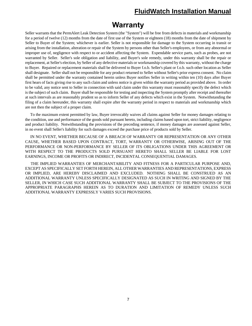# **Warranty**

<span id="page-8-0"></span>Seller warrants that the PermAlert Leak Detection System (the "System") will be free from defects in materials and workmanship for a period of twelve (12) months from the date of first use of the System or eighteen (18) months from the date of shipment by Seller to Buyer of the System; whichever is earlier. Seller is not responsible for damage to the System occurring in transit or arising from the installation, alteration or repair of the System by persons other than Seller's employees, or from any abnormal or improper use of, negligence with respect to or accident affecting the System. Expendable service parts, such as probes, are not warranted by Seller. Seller's sole obligation and liability, and Buyer's sole remedy, under this warranty shall be the repair or replacement, at Seller's election, by Seller of any defective materials or workmanship covered by this warranty, without the charge to Buyer. Repaired or replacement materials shall be delivered to Buyer f.o.b. Seller's plant or f.o.b. such other location as Seller shall designate. Seller shall not be responsible for any product returned to Seller without Seller's prior express consent. No claim shall be permitted under the warranty contained herein unless Buyer notifies Seller in writing within ten (10) days after Buyer first hears of facts giving rise to any such claim and unless notice is given within the warranty period as provided above. In order to be valid, any notice sent to Seller in connection with said claim under this warranty must reasonably specify the defect which is the subject of such claim. Buyer shall be responsible for testing and inspecting the System promptly after receipt and thereafter at such intervals as are reasonably prudent so as to inform Seller of any defects which exist in the System. Notwithstanding the filing of a claim hereunder, this warranty shall expire after the warranty period in respect to materials and workmanship which are not then the subject of a proper claim.

 To the maximum extent permitted by law, Buyer irrevocably waives all claims against Seller for money damages relating to the condition, use and performance of the goods sold pursuant hereto, including claims based upon tort, strict liability, negligence and product liability. Notwithstanding the provisions of the preceding sentence, if money damages are assessed against Seller, in no event shall Seller's liability for such damages exceed the purchase price of products sold by Seller.

 IN NO EVENT, WHETHER BECAUSE OF A BREACH OF WARRANTY OR REPRESENTATION OR ANY OTHER CAUSE, WHETHER BASED UPON CONTRACT, TORT, WARRANTY OR OTHERWISE, ARISING OUT OF THE PERFORMANCE OR NON-PERFORMANCE BY SELLER OF ITS OBLIGATIONS UNDER THIS AGREEMENT OR WITH RESPECT TO THE PRODUCTS SOLD PURSUANT HERETO SHALL SELLER BE LIABLE FOR LOST EARNINGS, INCOME OR PROFITS OR INDIRECT, INCIDENTAL CONSEQUENTIAL DAMAGES.

 THE IMPLIED WARRANTIES OF MERCHANTABILITY AND FITNESS FOR A PARTICULAR PURPOSE AND, EXCEPT AS SPECIFICALLY SET FORTH HEREIN, ALL OTHER WARRANTIES AND REPRESENTATIONS, EXPRESS OR IMPLIED, ARE HEREBY DISCLAIMED AND EXCLUDED. NOTHING SHALL BE CONSTRUED AS AN ADDITIONAL WARRANTY UNLESS SPECIFICALLY DESIGNATED AS SUCH IN WRITING AND SIGNED BY THE SELLER, IN WHICH CASE SUCH ADDITIONAL WARRANTY SHALL BE SUBJECT TO THE PROVISIONS OF THE APPROPRIATE PARAGRAPHS HEREIN AS TO DURATION AND LIMITATION OF REMEDY UNLESS SUCH ADDITIONAL WARRANTY EXPRESSLY VARIES SUCH PROVISIONS.